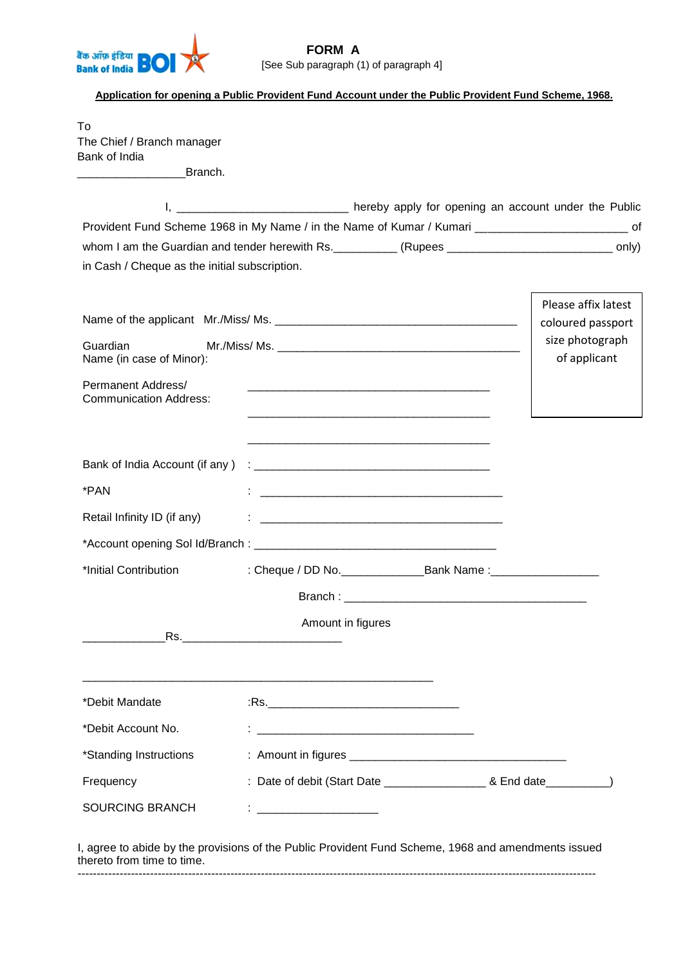

# **FORM A** [See Sub paragraph (1) of paragraph 4]

### **Application for opening a Public Provident Fund Account under the Public Provident Fund Scheme, 1968.**

To The Chief / Branch manager Bank of India

\_\_\_\_\_\_\_\_\_\_\_\_\_\_\_\_\_Branch.

SOURCING BRANCH : \_\_\_\_\_\_\_\_\_\_\_\_\_\_\_\_\_\_\_

|                                                                                                           |                                          | I, ______________________________ hereby apply for opening an account under the Public                               |                                 |  |  |  |  |  |
|-----------------------------------------------------------------------------------------------------------|------------------------------------------|----------------------------------------------------------------------------------------------------------------------|---------------------------------|--|--|--|--|--|
| Provident Fund Scheme 1968 in My Name / in the Name of Kumar / Kumari ______________________________ of   |                                          |                                                                                                                      |                                 |  |  |  |  |  |
| whom I am the Guardian and tender herewith Rs. ___________(Rupees _________________________________ only) |                                          |                                                                                                                      |                                 |  |  |  |  |  |
| in Cash / Cheque as the initial subscription.                                                             |                                          |                                                                                                                      |                                 |  |  |  |  |  |
|                                                                                                           | Please affix latest<br>coloured passport |                                                                                                                      |                                 |  |  |  |  |  |
| Guardian<br>Name (in case of Minor):                                                                      |                                          |                                                                                                                      | size photograph<br>of applicant |  |  |  |  |  |
| Permanent Address/<br><b>Communication Address:</b>                                                       |                                          |                                                                                                                      |                                 |  |  |  |  |  |
| Bank of India Account (if any)                                                                            |                                          |                                                                                                                      |                                 |  |  |  |  |  |
| *PAN                                                                                                      |                                          | <u> 2008 - Jan Barnett, fransk politik (d. 1888)</u>                                                                 |                                 |  |  |  |  |  |
| Retail Infinity ID (if any)                                                                               |                                          | <u> 2000 - 2000 - 2000 - 2000 - 2000 - 2000 - 2000 - 2000 - 2000 - 2000 - 2000 - 2000 - 2000 - 2000 - 2000 - 200</u> |                                 |  |  |  |  |  |
|                                                                                                           |                                          |                                                                                                                      |                                 |  |  |  |  |  |
| *Initial Contribution                                                                                     |                                          |                                                                                                                      |                                 |  |  |  |  |  |
|                                                                                                           |                                          |                                                                                                                      |                                 |  |  |  |  |  |
|                                                                                                           | Amount in figures                        |                                                                                                                      |                                 |  |  |  |  |  |
| *Debit Mandate                                                                                            |                                          |                                                                                                                      |                                 |  |  |  |  |  |
| *Debit Account No.                                                                                        |                                          |                                                                                                                      |                                 |  |  |  |  |  |
| *Standing Instructions                                                                                    |                                          |                                                                                                                      |                                 |  |  |  |  |  |
| Frequency                                                                                                 |                                          | : Date of debit (Start Date ____________________                                                                     |                                 |  |  |  |  |  |

I, agree to abide by the provisions of the Public Provident Fund Scheme, 1968 and amendments issued thereto from time to time. ----------------------------------------------------------------------------------------------------------------------------------------